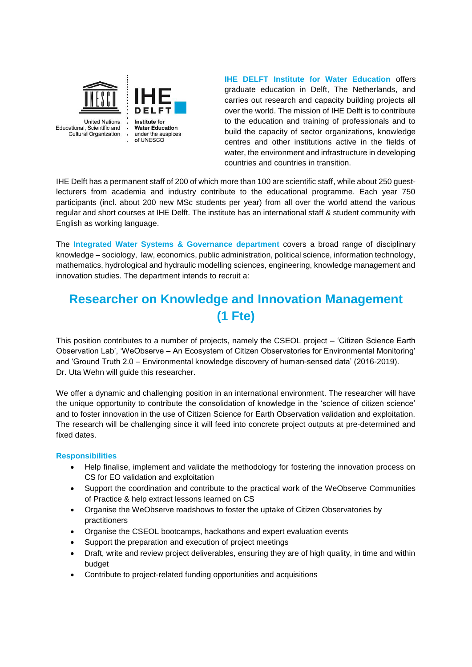

**IHE DELFT Institute for Water Education** offers graduate education in Delft, The Netherlands, and carries out research and capacity building projects all over the world. The mission of IHE Delft is to contribute to the education and training of professionals and to build the capacity of sector organizations, knowledge centres and other institutions active in the fields of water, the environment and infrastructure in developing countries and countries in transition.

IHE Delft has a permanent staff of 200 of which more than 100 are scientific staff, while about 250 guestlecturers from academia and industry contribute to the educational programme. Each year 750 participants (incl. about 200 new MSc students per year) from all over the world attend the various regular and short courses at IHE Delft. The institute has an international staff & student community with English as working language.

The **Integrated Water Systems & Governance department** covers a broad range of disciplinary knowledge – sociology, law, economics, public administration, political science, information technology, mathematics, hydrological and hydraulic modelling sciences, engineering, knowledge management and innovation studies. The department intends to recruit a:

# **Researcher on Knowledge and Innovation Management (1 Fte)**

This position contributes to a number of projects, namely the CSEOL project – 'Citizen Science Earth Observation Lab', 'WeObserve – An Ecosystem of Citizen Observatories for Environmental Monitoring' and 'Ground Truth 2.0 – Environmental knowledge discovery of human-sensed data' (2016-2019). Dr. Uta Wehn will guide this researcher.

We offer a dynamic and challenging position in an international environment. The researcher will have the unique opportunity to contribute the consolidation of knowledge in the 'science of citizen science' and to foster innovation in the use of Citizen Science for Earth Observation validation and exploitation. The research will be challenging since it will feed into concrete project outputs at pre-determined and fixed dates.

# **Responsibilities**

- Help finalise, implement and validate the methodology for fostering the innovation process on CS for EO validation and exploitation
- Support the coordination and contribute to the practical work of the WeObserve Communities of Practice & help extract lessons learned on CS
- Organise the WeObserve roadshows to foster the uptake of Citizen Observatories by practitioners
- Organise the CSEOL bootcamps, hackathons and expert evaluation events
- Support the preparation and execution of project meetings
- Draft, write and review project deliverables, ensuring they are of high quality, in time and within budget
- Contribute to project-related funding opportunities and acquisitions